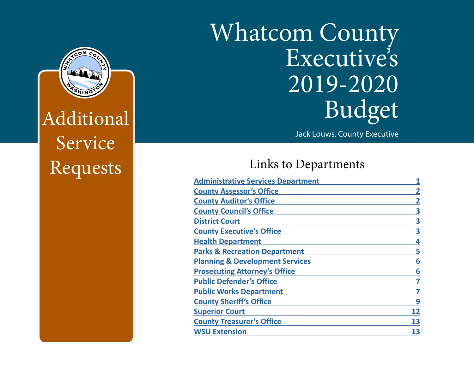## Whatcom County Executive's 2019-2020 Budget

Jack Louws, County Executive

## Links to Departments

| <b>Administrative Services Department</b>  |                         |
|--------------------------------------------|-------------------------|
| <b>County Assessor's Office</b>            | $\overline{\mathbf{2}}$ |
| <b>County Auditor's Office</b>             |                         |
| <b>County Council's Office</b>             | 3                       |
| <b>District Court</b>                      | 3                       |
| <b>County Executive's Office</b>           | 3                       |
| <b>Health Department</b>                   | 4                       |
| <b>Parks &amp; Recreation Department</b>   | 5                       |
| <b>Planning &amp; Development Services</b> | 6                       |
| <b>Prosecuting Attorney's Office</b>       | 6                       |
| <b>Public Defender's Office</b>            | 7                       |
| <b>Public Works Department</b>             | 7                       |
| <b>County Sheriff's Office</b>             | 9                       |
| <b>Superior Court</b>                      | 12                      |
| <b>County Treasurer's Office</b>           | 13                      |
| <b>WSU Extension</b>                       | 13                      |



Additional Service Requests

This Report Prepared and Published by the Whatcom County Administrative Services Department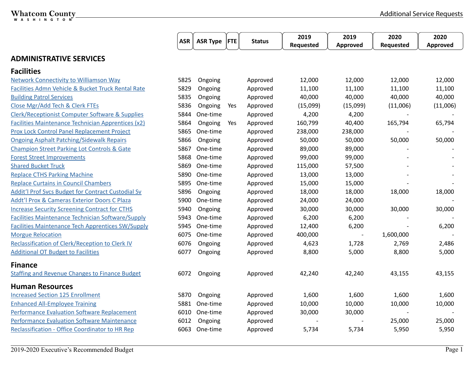## <span id="page-1-0"></span>Whatcom County

|                                                            | <b>ASR</b> | <b>ASR Type</b> | <b>FTE</b> | <b>Status</b> | 2019<br>Requested | 2019<br>Approved | 2020<br>Requested | 2020<br>Approved |
|------------------------------------------------------------|------------|-----------------|------------|---------------|-------------------|------------------|-------------------|------------------|
| <b>ADMINISTRATIVE SERVICES</b>                             |            |                 |            |               |                   |                  |                   |                  |
| <b>Facilities</b>                                          |            |                 |            |               |                   |                  |                   |                  |
| <b>Network Connectivity to Williamson Way</b>              | 5825       | Ongoing         |            | Approved      | 12,000            | 12,000           | 12,000            | 12,000           |
| Facilities Admn Vehicle & Bucket Truck Rental Rate         | 5829       | Ongoing         |            | Approved      | 11,100            | 11,100           | 11,100            | 11,100           |
| <b>Building Patrol Services</b>                            | 5835       | Ongoing         |            | Approved      | 40,000            | 40,000           | 40,000            | 40,000           |
| Close Mgr/Add Tech & Clerk FTEs                            | 5836       | Ongoing         | Yes        | Approved      | (15,099)          | (15,099)         | (11,006)          | (11,006)         |
| <b>Clerk/Receptionist Computer Software &amp; Supplies</b> | 5844       | One-time        |            | Approved      | 4,200             | 4,200            |                   |                  |
| <b>Facilities Maintenance Technician Apprentices (x2)</b>  | 5864       | Ongoing         | Yes        | Approved      | 160,799           | 40,400           | 165,794           | 65,794           |
| <b>Prox Lock Control Panel Replacement Project</b>         | 5865       | One-time        |            | Approved      | 238,000           | 238,000          |                   |                  |
| <b>Ongoing Asphalt Patching/Sidewalk Repairs</b>           | 5866       | Ongoing         |            | Approved      | 50,000            | 50,000           | 50,000            | 50,000           |
| <b>Champion Street Parking Lot Controls &amp; Gate</b>     | 5867       | One-time        |            | Approved      | 89,000            | 89,000           |                   |                  |
| <b>Forest Street Improvements</b>                          | 5868       | One-time        |            | Approved      | 99,000            | 99,000           |                   |                  |
| <b>Shared Bucket Truck</b>                                 | 5869       | One-time        |            | Approved      | 115,000           | 57,500           |                   |                  |
| <b>Replace CTHS Parking Machine</b>                        | 5890       | One-time        |            | Approved      | 13,000            | 13,000           |                   |                  |
| <b>Replace Curtains in Council Chambers</b>                | 5895       | One-time        |            | Approved      | 15,000            | 15,000           |                   |                  |
| Addit'l Prof Svcs Budget for Contract Custodial Sv         | 5896       | Ongoing         |            | Approved      | 18,000            | 18,000           | 18,000            | 18,000           |
| Addt'l Prox & Cameras Exterior Doors C Plaza               | 5900       | One-time        |            | Approved      | 24,000            | 24,000           |                   |                  |
| <b>Increase Security Screening Contract for CTHS</b>       | 5940       | Ongoing         |            | Approved      | 30,000            | 30,000           | 30,000            | 30,000           |
| <b>Facilities Maintenance Technician Software/Supply</b>   | 5943       | One-time        |            | Approved      | 6,200             | 6,200            |                   |                  |
| <b>Facilities Maintenance Tech Apprentices SW/Supply</b>   | 5945       | One-time        |            | Approved      | 12,400            | 6,200            |                   | 6,200            |
| <b>Morgue Relocation</b>                                   | 6075       | One-time        |            | Approved      | 400,000           |                  | 1,600,000         |                  |
| Reclassification of Clerk/Reception to Clerk IV            | 6076       | Ongoing         |            | Approved      | 4,623             | 1,728            | 2,769             | 2,486            |
| <b>Additional OT Budget to Facilities</b>                  | 6077       | Ongoing         |            | Approved      | 8,800             | 5,000            | 8,800             | 5,000            |
| <b>Finance</b>                                             |            |                 |            |               |                   |                  |                   |                  |
| <b>Staffing and Revenue Changes to Finance Budget</b>      | 6072       | Ongoing         |            | Approved      | 42,240            | 42,240           | 43,155            | 43,155           |
| <b>Human Resources</b>                                     |            |                 |            |               |                   |                  |                   |                  |
| <b>Increased Section 125 Enrollment</b>                    | 5870       | Ongoing         |            | Approved      | 1,600             | 1,600            | 1,600             | 1,600            |
| <b>Enhanced All-Employee Training</b>                      | 5881       | One-time        |            | Approved      | 10,000            | 10,000           | 10,000            | 10,000           |
| <b>Performance Evaluation Software Replacement</b>         | 6010       | One-time        |            | Approved      | 30,000            | 30,000           |                   |                  |
| Performance Evaluation Software Maintenance                | 6012       | Ongoing         |            | Approved      |                   |                  | 25,000            | 25,000           |
| <b>Reclassification - Office Coordinator to HR Rep</b>     |            | 6063 One-time   |            | Approved      | 5,734             | 5,734            | 5,950             | 5,950            |

<u> 1980 - Johann Barbara, martxa alemaniar amerikan a</u>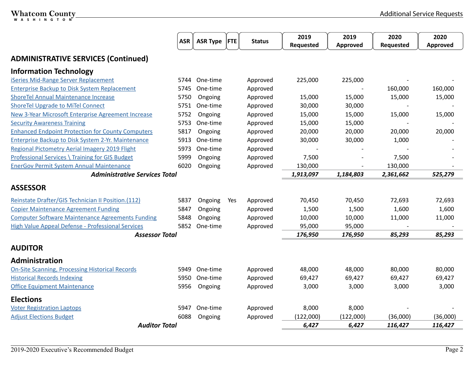<span id="page-2-0"></span>

|                                                           | <b>ASR</b> | <b>ASR Type</b> | <b>FTE</b> | <b>Status</b> | 2019<br>Requested | 2019<br>Approved | 2020<br>Requested | 2020<br>Approved |
|-----------------------------------------------------------|------------|-----------------|------------|---------------|-------------------|------------------|-------------------|------------------|
| <b>ADMINISTRATIVE SERVICES (Continued)</b>                |            |                 |            |               |                   |                  |                   |                  |
| <b>Information Technology</b>                             |            |                 |            |               |                   |                  |                   |                  |
| iSeries Mid-Range Server Replacement                      | 5744       | One-time        |            | Approved      | 225,000           | 225,000          |                   |                  |
| <b>Enterprise Backup to Disk System Replacement</b>       | 5745       | One-time        |            | Approved      |                   |                  | 160,000           | 160,000          |
| <b>ShoreTel Annual Maintenance Increase</b>               | 5750       | Ongoing         |            | Approved      | 15,000            | 15,000           | 15,000            | 15,000           |
| <b>ShoreTel Upgrade to MiTel Connect</b>                  | 5751       | One-time        |            | Approved      | 30,000            | 30,000           |                   |                  |
| <b>New 3-Year Microsoft Enterprise Agreement Increase</b> | 5752       | Ongoing         |            | Approved      | 15,000            | 15,000           | 15,000            | 15,000           |
| <b>Security Awareness Training</b>                        | 5753       | One-time        |            | Approved      | 15,000            | 15,000           |                   |                  |
| <b>Enhanced Endpoint Protection for County Computers</b>  | 5817       | Ongoing         |            | Approved      | 20,000            | 20,000           | 20,000            | 20,000           |
| Enterprise Backup to Disk System 2-Yr. Maintenance        | 5913       | One-time        |            | Approved      | 30,000            | 30,000           | 1,000             |                  |
| <b>Regional Pictometry Aerial Imagery 2019 Flight</b>     | 5973       | One-time        |            | Approved      |                   |                  |                   |                  |
| <b>Professional Services \ Training for GIS Budget</b>    | 5999       | Ongoing         |            | Approved      | 7,500             |                  | 7,500             |                  |
| <b>EnerGov Permit System Annual Maintenance</b>           | 6020       | Ongoing         |            | Approved      | 130,000           |                  | 130,000           |                  |
| <b>Administrative Services Total</b>                      |            |                 |            |               | 1,913,097         | 1,184,803        | 2,361,662         | 525,279          |
| <b>ASSESSOR</b>                                           |            |                 |            |               |                   |                  |                   |                  |
| Reinstate Drafter/GIS Technician II Position.(112)        | 5837       | Ongoing         | Yes        | Approved      | 70,450            | 70,450           | 72,693            | 72,693           |
| <b>Copier Maintenance Agreement Funding</b>               | 5847       | Ongoing         |            | Approved      | 1,500             | 1,500            | 1,600             | 1,600            |
| <b>Computer Software Maintenance Agreements Funding</b>   | 5848       | Ongoing         |            | Approved      | 10,000            | 10,000           | 11,000            | 11,000           |
| <b>High Value Appeal Defense - Professional Services</b>  | 5852       | One-time        |            | Approved      | 95,000            | 95,000           | $\overline{a}$    |                  |
| <b>Assessor Total</b>                                     |            |                 |            |               | 176,950           | 176,950          | 85,293            | 85,293           |
| <b>AUDITOR</b>                                            |            |                 |            |               |                   |                  |                   |                  |
| <b>Administration</b>                                     |            |                 |            |               |                   |                  |                   |                  |
| <b>On-Site Scanning, Processing Historical Records</b>    | 5949       | One-time        |            | Approved      | 48,000            | 48,000           | 80,000            | 80,000           |
| <b>Historical Records Indexing</b>                        | 5950       | One-time        |            | Approved      | 69,427            | 69,427           | 69,427            | 69,427           |
| <b>Office Equipment Maintenance</b>                       | 5956       | Ongoing         |            | Approved      | 3,000             | 3,000            | 3,000             | 3,000            |
| <b>Elections</b>                                          |            |                 |            |               |                   |                  |                   |                  |
| <b>Voter Registration Laptops</b>                         | 5947       | One-time        |            | Approved      | 8,000             | 8,000            |                   |                  |
| <b>Adjust Elections Budget</b>                            | 6088       | Ongoing         |            | Approved      | (122,000)         | (122,000)        | (36,000)          | (36,000)         |
| <b>Auditor Total</b>                                      |            |                 |            |               | 6,427             | 6,427            | 116,427           | 116,427          |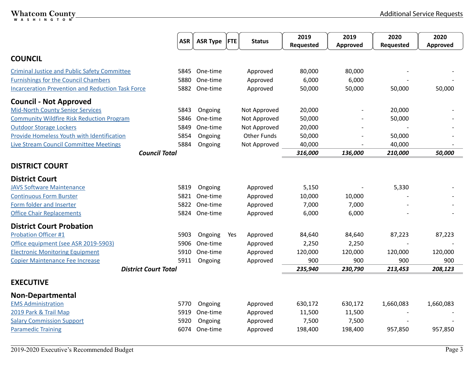<span id="page-3-0"></span>

|                                                          | <b>ASR</b> | <b>ASR Type</b> | <b>FTE</b> | <b>Status</b>      | 2019<br>Requested | 2019<br>Approved | 2020<br>Requested | 2020<br><b>Approved</b> |
|----------------------------------------------------------|------------|-----------------|------------|--------------------|-------------------|------------------|-------------------|-------------------------|
| <b>COUNCIL</b>                                           |            |                 |            |                    |                   |                  |                   |                         |
| <b>Criminal Justice and Public Safety Committee</b>      | 5845       | One-time        |            | Approved           | 80,000            | 80,000           |                   |                         |
| <b>Furnishings for the Council Chambers</b>              | 5880       | One-time        |            | Approved           | 6,000             | 6,000            |                   |                         |
| <b>Incarceration Prevention and Reduction Task Force</b> | 5882       | One-time        |            | Approved           | 50,000            | 50,000           | 50,000            | 50,000                  |
| <b>Council - Not Approved</b>                            |            |                 |            |                    |                   |                  |                   |                         |
| <b>Mid-North County Senior Services</b>                  | 5843       | Ongoing         |            | Not Approved       | 20,000            |                  | 20,000            |                         |
| <b>Community Wildfire Risk Reduction Program</b>         | 5846       | One-time        |            | Not Approved       | 50,000            |                  | 50,000            |                         |
| <b>Outdoor Storage Lockers</b>                           | 5849       | One-time        |            | Not Approved       | 20,000            |                  |                   |                         |
| Provide Homeless Youth with Identification               | 5854       | Ongoing         |            | <b>Other Funds</b> | 50,000            |                  | 50,000            |                         |
| <b>Live Stream Council Committee Meetings</b>            | 5884       | Ongoing         |            | Not Approved       | 40,000            |                  | 40,000            |                         |
| <b>Council Total</b>                                     |            |                 |            |                    | 316,000           | 136,000          | 210,000           | 50,000                  |
| <b>DISTRICT COURT</b>                                    |            |                 |            |                    |                   |                  |                   |                         |
| <b>District Court</b>                                    |            |                 |            |                    |                   |                  |                   |                         |
| <b>JAVS Software Maintenance</b>                         | 5819       | Ongoing         |            | Approved           | 5,150             |                  | 5,330             |                         |
| <b>Continuous Form Burster</b>                           | 5821       | One-time        |            | Approved           | 10,000            | 10,000           |                   |                         |
| Form folder and Inserter                                 | 5822       | One-time        |            | Approved           | 7,000             | 7,000            |                   |                         |
| <b>Office Chair Replacements</b>                         | 5824       | One-time        |            | Approved           | 6,000             | 6,000            |                   |                         |
| <b>District Court Probation</b>                          |            |                 |            |                    |                   |                  |                   |                         |
| <b>Probation Officer #1</b>                              | 5903       | Ongoing         | Yes        | Approved           | 84,640            | 84,640           | 87,223            | 87,223                  |
| Office equipment (see ASR 2019-5903)                     | 5906       | One-time        |            | Approved           | 2,250             | 2,250            |                   |                         |
| <b>Electronic Monitoring Equipment</b>                   | 5910       | One-time        |            | Approved           | 120,000           | 120,000          | 120,000           | 120,000                 |
| Copier Maintenance Fee Increase                          | 5911       | Ongoing         |            | Approved           | 900               | 900              | 900               | 900                     |
| <b>District Court Total</b>                              |            |                 |            |                    | 235,940           | 230,790          | 213,453           | 208,123                 |
| <b>EXECUTIVE</b>                                         |            |                 |            |                    |                   |                  |                   |                         |
| <b>Non-Departmental</b>                                  |            |                 |            |                    |                   |                  |                   |                         |
| <b>EMS Administration</b>                                | 5770       | Ongoing         |            | Approved           | 630,172           | 630,172          | 1,660,083         | 1,660,083               |
| 2019 Park & Trail Map                                    | 5919       | One-time        |            | Approved           | 11,500            | 11,500           |                   |                         |
| <b>Salary Commission Support</b>                         | 5920       | Ongoing         |            | Approved           | 7,500             | 7,500            |                   |                         |
| <b>Paramedic Training</b>                                | 6074       | One-time        |            | Approved           | 198,400           | 198,400          | 957,850           | 957,850                 |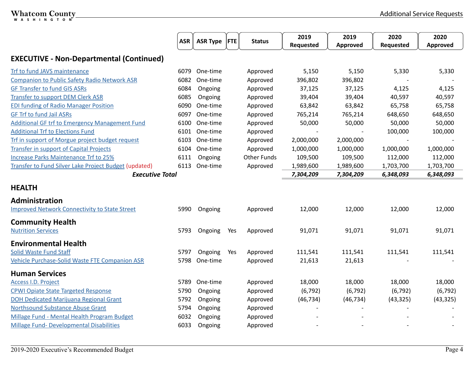<span id="page-4-0"></span>

|                                                       | <b>ASR</b> | <b>ASR Type</b> | <b>FTE</b> | <b>Status</b>      | 2019      | 2019            | 2020      | 2020      |
|-------------------------------------------------------|------------|-----------------|------------|--------------------|-----------|-----------------|-----------|-----------|
|                                                       |            |                 |            |                    | Requested | <b>Approved</b> | Requested | Approved  |
| <b>EXECUTIVE - Non-Departmental (Continued)</b>       |            |                 |            |                    |           |                 |           |           |
| Trf to fund JAVS maintenance                          | 6079       | One-time        |            | Approved           | 5,150     | 5,150           | 5,330     | 5,330     |
| <b>Companion to Public Safety Radio Network ASR</b>   | 6082       | One-time        |            | Approved           | 396,802   | 396,802         |           |           |
| <b>GF Transfer to fund GIS ASRs</b>                   | 6084       | Ongoing         |            | Approved           | 37,125    | 37,125          | 4,125     | 4,125     |
| Transfer to support DEM Clerk ASR                     | 6085       | Ongoing         |            | Approved           | 39,404    | 39,404          | 40,597    | 40,597    |
| <b>EDI funding of Radio Manager Position</b>          | 6090       | One-time        |            | Approved           | 63,842    | 63,842          | 65,758    | 65,758    |
| <b>GF Trf to fund Jail ASRs</b>                       | 6097       | One-time        |            | Approved           | 765,214   | 765,214         | 648,650   | 648,650   |
| <b>Additional GF trf to Emergency Management Fund</b> | 6100       | One-time        |            | Approved           | 50,000    | 50,000          | 50,000    | 50,000    |
| <b>Additional Trf to Elections Fund</b>               | 6101       | One-time        |            | Approved           |           |                 | 100,000   | 100,000   |
| Trf in support of Morgue project budget request       | 6103       | One-time        |            | Approved           | 2,000,000 | 2,000,000       |           |           |
| Transfer in support of Capital Projects               | 6104       | One-time        |            | Approved           | 1,000,000 | 1,000,000       | 1,000,000 | 1,000,000 |
| <b>Increase Parks Maintenance Trf to 25%</b>          | 6111       | Ongoing         |            | <b>Other Funds</b> | 109,500   | 109,500         | 112,000   | 112,000   |
| Transfer to Fund Silver Lake Project Budget (updated) | 6113       | One-time        |            | Approved           | 1,989,600 | 1,989,600       | 1,703,700 | 1,703,700 |
| <b>Executive Total</b>                                |            |                 |            |                    | 7,304,209 | 7,304,209       | 6,348,093 | 6,348,093 |
| <b>HEALTH</b>                                         |            |                 |            |                    |           |                 |           |           |
| <b>Administration</b>                                 |            |                 |            |                    |           |                 |           |           |
| <b>Improved Network Connectivity to State Street</b>  | 5990       | Ongoing         |            | Approved           | 12,000    | 12,000          | 12,000    | 12,000    |
| <b>Community Health</b>                               |            |                 |            |                    |           |                 |           |           |
| <b>Nutrition Services</b>                             | 5793       | Ongoing         | Yes        | Approved           | 91,071    | 91,071          | 91,071    | 91,071    |
| <b>Environmental Health</b>                           |            |                 |            |                    |           |                 |           |           |
| <b>Solid Waste Fund Staff</b>                         | 5797       | Ongoing         | Yes        | Approved           | 111,541   | 111,541         | 111,541   | 111,541   |
| Vehicle Purchase-Solid Waste FTE Companion ASR        | 5798       | One-time        |            | Approved           | 21,613    | 21,613          |           |           |
| <b>Human Services</b>                                 |            |                 |            |                    |           |                 |           |           |
| <b>Access I.D. Project</b>                            | 5789       | One-time        |            | Approved           | 18,000    | 18,000          | 18,000    | 18,000    |
| <b>CPWI Opiate State Targeted Response</b>            | 5790       | Ongoing         |            | Approved           | (6, 792)  | (6, 792)        | (6, 792)  | (6, 792)  |
| <b>DOH Dedicated Marijuana Regional Grant</b>         | 5792       | Ongoing         |            | Approved           | (46, 734) | (46, 734)       | (43, 325) | (43, 325) |
| <b>Northsound Substance Abuse Grant</b>               | 5794       | Ongoing         |            | Approved           |           |                 |           |           |
| Millage Fund - Mental Health Program Budget           | 6032       | Ongoing         |            | Approved           |           |                 |           |           |
| <b>Millage Fund- Developmental Disabilities</b>       | 6033       | Ongoing         |            | Approved           |           |                 |           |           |

<u> 1980 - Johann Barbara, martxa alemaniar amerikan basar da a</u>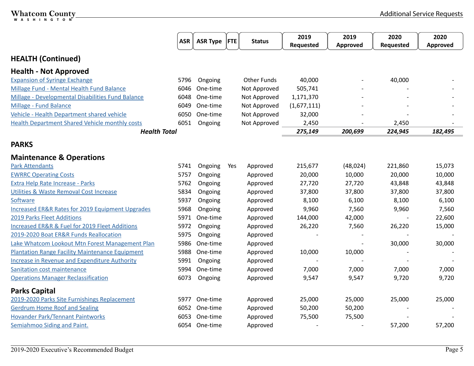<span id="page-5-0"></span>

|                                                               | <b>ASR</b> | <b>ASR Type</b> | <b>FTE</b> | <b>Status</b>      | 2019<br>Requested | 2019<br><b>Approved</b> | 2020<br>Requested | 2020<br><b>Approved</b> |
|---------------------------------------------------------------|------------|-----------------|------------|--------------------|-------------------|-------------------------|-------------------|-------------------------|
| <b>HEALTH (Continued)</b>                                     |            |                 |            |                    |                   |                         |                   |                         |
| <b>Health - Not Approved</b>                                  |            |                 |            |                    |                   |                         |                   |                         |
| <b>Expansion of Syringe Exchange</b>                          | 5796       | Ongoing         |            | <b>Other Funds</b> | 40,000            |                         | 40,000            |                         |
| Millage Fund - Mental Health Fund Balance                     | 6046       | One-time        |            | Not Approved       | 505,741           |                         |                   |                         |
| Millage - Developmental Disabilities Fund Balance             | 6048       | One-time        |            | Not Approved       | 1,171,370         |                         |                   |                         |
| Millage - Fund Balance                                        | 6049       | One-time        |            | Not Approved       | (1,677,111)       |                         |                   |                         |
| Vehicle - Health Department shared vehicle                    | 6050       | One-time        |            | Not Approved       | 32,000            |                         |                   |                         |
| <b>Health Department Shared Vehicle monthly costs</b>         | 6051       | Ongoing         |            | Not Approved       | 2,450             |                         | 2,450             |                         |
| <b>Health Total</b>                                           |            |                 |            |                    | 275,149           | 200,699                 | 224,945           | 182,495                 |
| <b>PARKS</b>                                                  |            |                 |            |                    |                   |                         |                   |                         |
| <b>Maintenance &amp; Operations</b>                           |            |                 |            |                    |                   |                         |                   |                         |
| <b>Park Attendants</b>                                        | 5741       | Ongoing         | Yes        | Approved           | 215,677           | (48, 024)               | 221,860           | 15,073                  |
| <b>EWRRC Operating Costs</b>                                  | 5757       | Ongoing         |            | Approved           | 20,000            | 10,000                  | 20,000            | 10,000                  |
| <b>Extra Help Rate Increase - Parks</b>                       | 5762       | Ongoing         |            | Approved           | 27,720            | 27,720                  | 43,848            | 43,848                  |
| Utilities & Waste Removal Cost Increase                       | 5834       | Ongoing         |            | Approved           | 37,800            | 37,800                  | 37,800            | 37,800                  |
| Software                                                      | 5937       | Ongoing         |            | Approved           | 8,100             | 6,100                   | 8,100             | 6,100                   |
| Increased ER&R Rates for 2019 Equipment Upgrades              | 5968       | Ongoing         |            | Approved           | 9,960             | 7,560                   | 9,960             | 7,560                   |
| 2019 Parks Fleet Additions                                    | 5971       | One-time        |            | Approved           | 144,000           | 42,000                  |                   | 22,600                  |
| <b>Increased ER&amp;R &amp; Fuel for 2019 Fleet Additions</b> | 5972       | Ongoing         |            | Approved           | 26,220            | 7,560                   | 26,220            | 15,000                  |
| 2019-2020 Boat ER&R Funds Reallocation                        | 5975       | Ongoing         |            | Approved           |                   |                         |                   |                         |
| Lake Whatcom Lookout Mtn Forest Management Plan               | 5986       | One-time        |            | Approved           |                   |                         | 30,000            | 30,000                  |
| <b>Plantation Range Facility Maintenance Equipment</b>        | 5988       | One-time        |            | Approved           | 10,000            | 10,000                  |                   |                         |
| <b>Increase in Revenue and Expenditure Authority</b>          | 5991       | Ongoing         |            | Approved           |                   |                         |                   |                         |
| Sanitation cost maintenance                                   | 5994       | One-time        |            | Approved           | 7,000             | 7,000                   | 7,000             | 7,000                   |
| <b>Operations Manager Reclassification</b>                    | 6073       | Ongoing         |            | Approved           | 9,547             | 9,547                   | 9,720             | 9,720                   |
| <b>Parks Capital</b>                                          |            |                 |            |                    |                   |                         |                   |                         |
| 2019-2020 Parks Site Furnishings Replacement                  | 5977       | One-time        |            | Approved           | 25,000            | 25,000                  | 25,000            | 25,000                  |
| <b>Gerdrum Home Roof and Sealing</b>                          | 6052       | One-time        |            | Approved           | 50,200            | 50,200                  |                   |                         |
| <b>Hovander Park/Tennant Paintworks</b>                       | 6053       | One-time        |            | Approved           | 75,500            | 75,500                  |                   |                         |
| Semiahmoo Siding and Paint.                                   | 6054       | One-time        |            | Approved           |                   |                         | 57,200            | 57,200                  |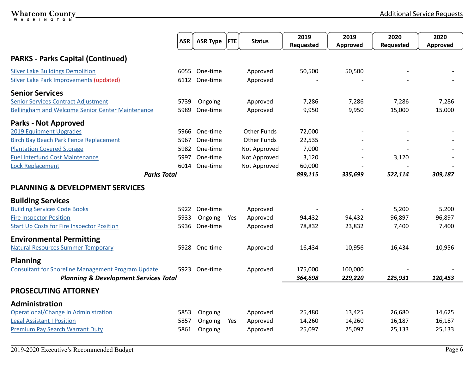<span id="page-6-0"></span>

|                                                           | <b>ASR</b> | <b>ASR Type</b> | <b>FTE</b> | <b>Status</b>      | 2019<br>Requested | 2019<br>Approved | 2020<br>Requested | 2020<br>Approved |
|-----------------------------------------------------------|------------|-----------------|------------|--------------------|-------------------|------------------|-------------------|------------------|
|                                                           |            |                 |            |                    |                   |                  |                   |                  |
| <b>PARKS - Parks Capital (Continued)</b>                  |            |                 |            |                    |                   |                  |                   |                  |
| <b>Silver Lake Buildings Demolition</b>                   | 6055       | One-time        |            | Approved           | 50,500            | 50,500           |                   |                  |
| Silver Lake Park Improvements (updated)                   | 6112       | One-time        |            | Approved           |                   |                  |                   |                  |
| <b>Senior Services</b>                                    |            |                 |            |                    |                   |                  |                   |                  |
| <b>Senior Services Contract Adjustment</b>                | 5739       | Ongoing         |            | Approved           | 7,286             | 7,286            | 7,286             | 7,286            |
| <b>Bellingham and Welcome Senior Center Maintenance</b>   | 5989       | One-time        |            | Approved           | 9,950             | 9,950            | 15,000            | 15,000           |
| <b>Parks - Not Approved</b>                               |            |                 |            |                    |                   |                  |                   |                  |
| 2019 Equipment Upgrades                                   | 5966       | One-time        |            | <b>Other Funds</b> | 72,000            |                  |                   |                  |
| <b>Birch Bay Beach Park Fence Replacement</b>             | 5967       | One-time        |            | <b>Other Funds</b> | 22,535            |                  |                   |                  |
| <b>Plantation Covered Storage</b>                         | 5982       | One-time        |            | Not Approved       | 7,000             |                  |                   |                  |
| <b>Fuel Interfund Cost Maintenance</b>                    | 5997       | One-time        |            | Not Approved       | 3,120             |                  | 3,120             |                  |
| <b>Lock Replacement</b>                                   | 6014       | One-time        |            | Not Approved       | 60,000            |                  |                   |                  |
| <b>Parks Total</b>                                        |            |                 |            |                    | 899,115           | 335,699          | 522,114           | 309,187          |
| <b>PLANNING &amp; DEVELOPMENT SERVICES</b>                |            |                 |            |                    |                   |                  |                   |                  |
| <b>Building Services</b>                                  |            |                 |            |                    |                   |                  |                   |                  |
| <b>Building Services Code Books</b>                       |            | 5922 One-time   |            | Approved           |                   |                  | 5,200             | 5,200            |
| <b>Fire Inspector Position</b>                            | 5933       | Ongoing         | Yes        | Approved           | 94,432            | 94,432           | 96,897            | 96,897           |
| <b>Start Up Costs for Fire Inspector Position</b>         | 5936       | One-time        |            | Approved           | 78,832            | 23,832           | 7,400             | 7,400            |
| <b>Environmental Permitting</b>                           |            |                 |            |                    |                   |                  |                   |                  |
| <b>Natural Resources Summer Temporary</b>                 | 5928       | One-time        |            | Approved           | 16,434            | 10,956           | 16,434            | 10,956           |
| <b>Planning</b>                                           |            |                 |            |                    |                   |                  |                   |                  |
| <b>Consultant for Shoreline Management Program Update</b> | 5923       | One-time        |            | Approved           | 175,000           | 100,000          |                   |                  |
| <b>Planning &amp; Development Services Total</b>          |            |                 |            |                    | 364,698           | 229,220          | 125,931           | 120,453          |
| PROSECUTING ATTORNEY                                      |            |                 |            |                    |                   |                  |                   |                  |
| Administration                                            |            |                 |            |                    |                   |                  |                   |                  |
| Operational/Change in Administration                      | 5853       | Ongoing         |            | Approved           | 25,480            | 13,425           | 26,680            | 14,625           |
| <b>Legal Assistant I Position</b>                         | 5857       | Ongoing         | Yes        | Approved           | 14,260            | 14,260           | 16,187            | 16,187           |
| <b>Premium Pay Search Warrant Duty</b>                    | 5861       | Ongoing         |            | Approved           | 25,097            | 25,097           | 25,133            | 25,133           |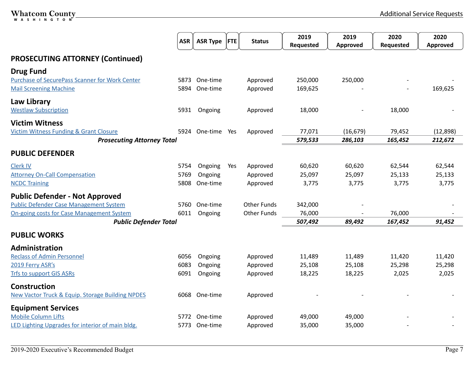<span id="page-7-0"></span>

|                                                       | <b>ASR</b> | <b>ASR Type</b> | <b>FTE</b> | <b>Status</b>      | 2019<br>Requested | 2019<br>Approved | 2020<br>Requested | 2020<br>Approved |
|-------------------------------------------------------|------------|-----------------|------------|--------------------|-------------------|------------------|-------------------|------------------|
| <b>PROSECUTING ATTORNEY (Continued)</b>               |            |                 |            |                    |                   |                  |                   |                  |
| <b>Drug Fund</b>                                      |            |                 |            |                    |                   |                  |                   |                  |
| <b>Purchase of SecurePass Scanner for Work Center</b> | 5873       | One-time        |            | Approved           | 250,000           | 250,000          |                   |                  |
| <b>Mail Screening Machine</b>                         | 5894       | One-time        |            | Approved           | 169,625           |                  |                   | 169,625          |
| <b>Law Library</b>                                    |            |                 |            |                    |                   |                  |                   |                  |
| <b>Westlaw Subscription</b>                           | 5931       | Ongoing         |            | Approved           | 18,000            |                  | 18,000            |                  |
| <b>Victim Witness</b>                                 |            |                 |            |                    |                   |                  |                   |                  |
| <b>Victim Witness Funding &amp; Grant Closure</b>     | 5924       | One-time Yes    |            | Approved           | 77,071            | (16, 679)        | 79,452            | (12,898)         |
| <b>Prosecuting Attorney Total</b>                     |            |                 |            |                    | 579,533           | 286,103          | 165,452           | 212,672          |
| <b>PUBLIC DEFENDER</b>                                |            |                 |            |                    |                   |                  |                   |                  |
| Clerk IV                                              | 5754       | Ongoing         | Yes        | Approved           | 60,620            | 60,620           | 62,544            | 62,544           |
| <b>Attorney On-Call Compensation</b>                  | 5769       | Ongoing         |            | Approved           | 25,097            | 25,097           | 25,133            | 25,133           |
| <b>NCDC Training</b>                                  | 5808       | One-time        |            | Approved           | 3,775             | 3,775            | 3,775             | 3,775            |
| <b>Public Defender - Not Approved</b>                 |            |                 |            |                    |                   |                  |                   |                  |
| <b>Public Defender Case Management System</b>         | 5760       | One-time        |            | <b>Other Funds</b> | 342,000           |                  |                   |                  |
| <b>On-going costs for Case Management System</b>      | 6011       | Ongoing         |            | <b>Other Funds</b> | 76,000            |                  | 76,000            |                  |
| <b>Public Defender Total</b>                          |            |                 |            |                    | 507,492           | 89,492           | 167,452           | 91,452           |
| <b>PUBLIC WORKS</b>                                   |            |                 |            |                    |                   |                  |                   |                  |
| Administration                                        |            |                 |            |                    |                   |                  |                   |                  |
| <b>Reclass of Admin Personnel</b>                     | 6056       | Ongoing         |            | Approved           | 11,489            | 11,489           | 11,420            | 11,420           |
| 2019 Ferry ASR's                                      | 6083       | Ongoing         |            | Approved           | 25,108            | 25,108           | 25,298            | 25,298           |
| <b>Trfs to support GIS ASRs</b>                       | 6091       | Ongoing         |            | Approved           | 18,225            | 18,225           | 2,025             | 2,025            |
| <b>Construction</b>                                   |            |                 |            |                    |                   |                  |                   |                  |
| New Vactor Truck & Equip. Storage Building NPDES      | 6068       | One-time        |            | Approved           |                   |                  |                   |                  |
| <b>Equipment Services</b>                             |            |                 |            |                    |                   |                  |                   |                  |
| <b>Mobile Column Lifts</b>                            | 5772       | One-time        |            | Approved           | 49,000            | 49,000           |                   |                  |
| LED Lighting Upgrades for interior of main bldg.      |            | 5773 One-time   |            | Approved           | 35,000            | 35,000           |                   |                  |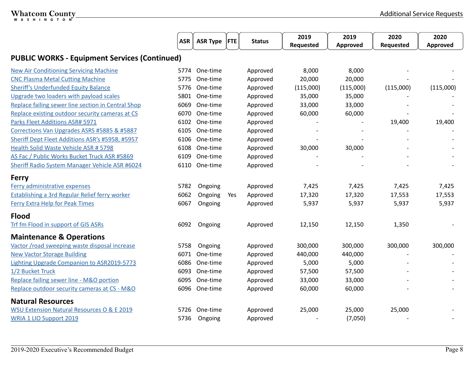|                                                       | <b>ASR</b> | ASR Type  FTE |     | <b>Status</b> | 2019<br>Requested | 2019<br>Approved | 2020<br>Requested | 2020<br>Approved |
|-------------------------------------------------------|------------|---------------|-----|---------------|-------------------|------------------|-------------------|------------------|
| <b>PUBLIC WORKS - Equipment Services (Continued)</b>  |            |               |     |               |                   |                  |                   |                  |
| <b>New Air Conditioning Servicing Machine</b>         | 5774       | One-time      |     | Approved      | 8,000             | 8,000            |                   |                  |
| <b>CNC Plasma Metal Cutting Machine</b>               | 5775       | One-time      |     | Approved      | 20,000            | 20,000           |                   |                  |
| <b>Sheriff's Underfunded Equity Balance</b>           | 5776       | One-time      |     | Approved      | (115,000)         | (115,000)        | (115,000)         | (115,000)        |
| Upgrade two loaders with payload scales               |            | 5801 One-time |     | Approved      | 35,000            | 35,000           |                   |                  |
| Replace failing sewer line section in Central Shop    | 6069       | One-time      |     | Approved      | 33,000            | 33,000           |                   |                  |
| Replace existing outdoor security cameras at CS       | 6070       | One-time      |     | Approved      | 60,000            | 60,000           |                   |                  |
| Parks Fleet Additions ASR# 5971                       |            | 6102 One-time |     | Approved      |                   |                  | 19,400            | 19,400           |
| Corrections Van Upgrades ASRS #5885 & #5887           | 6105       | One-time      |     | Approved      |                   |                  |                   |                  |
| Sheriff Dept Fleet Additions ASR's #5958, #5957       | 6106       | One-time      |     | Approved      |                   |                  |                   |                  |
| <b>Health Solid Waste Vehicle ASR # 5798</b>          | 6108       | One-time      |     | Approved      | 30,000            | 30,000           |                   |                  |
| AS Fac / Public Works Bucket Truck ASR #5869          | 6109       | One-time      |     | Approved      |                   |                  |                   |                  |
| Sheriff Radio System Manager Vehicle ASR #6024        | 6110       | One-time      |     | Approved      |                   |                  |                   |                  |
| <b>Ferry</b>                                          |            |               |     |               |                   |                  |                   |                  |
| Ferry administrative expenses                         | 5782       | Ongoing       |     | Approved      | 7,425             | 7,425            | 7,425             | 7,425            |
| <b>Establishing a 3rd Regular Relief ferry worker</b> | 6062       | Ongoing       | Yes | Approved      | 17,320            | 17,320           | 17,553            | 17,553           |
| <b>Ferry Extra Help for Peak Times</b>                | 6067       | Ongoing       |     | Approved      | 5,937             | 5,937            | 5,937             | 5,937            |
| <b>Flood</b>                                          |            |               |     |               |                   |                  |                   |                  |
| Trf fm Flood in support of GIS ASRs                   | 6092       | Ongoing       |     | Approved      | 12,150            | 12,150           | 1,350             |                  |
| <b>Maintenance &amp; Operations</b>                   |            |               |     |               |                   |                  |                   |                  |
| Vactor / road sweeping waste disposal increase        | 5758       | Ongoing       |     | Approved      | 300,000           | 300,000          | 300,000           | 300,000          |
| <b>New Vactor Storage Building</b>                    | 6071       | One-time      |     | Approved      | 440,000           | 440,000          |                   |                  |
| Lighting Upgrade Companion to ASR2019-5773            | 6086       | One-time      |     | Approved      | 5,000             | 5,000            |                   |                  |
| 1/2 Bucket Truck                                      | 6093       | One-time      |     | Approved      | 57,500            | 57,500           |                   |                  |
| Replace failing sewer line - M&O portion              | 6095       | One-time      |     | Approved      | 33,000            | 33,000           |                   |                  |
| Replace outdoor security cameras at CS - M&O          |            | 6096 One-time |     | Approved      | 60,000            | 60,000           |                   |                  |
| <b>Natural Resources</b>                              |            |               |     |               |                   |                  |                   |                  |
| <b>WSU Extension Natural Resources O &amp; E 2019</b> | 5726       | One-time      |     | Approved      | 25,000            | 25,000           | 25,000            |                  |
| <b>WRIA 1 LIO Support 2019</b>                        | 5736       | Ongoing       |     | Approved      |                   | (7,050)          |                   |                  |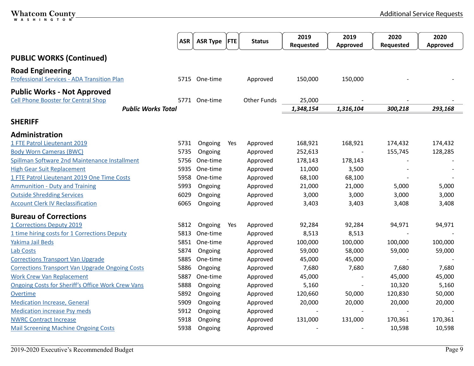<span id="page-9-0"></span>

|                                                                                  | <b>ASR</b>                | <b>ASR Type</b> | <b>FTE</b> | <b>Status</b>      | 2019<br>Requested | 2019<br>Approved | 2020<br>Requested | 2020<br>Approved |
|----------------------------------------------------------------------------------|---------------------------|-----------------|------------|--------------------|-------------------|------------------|-------------------|------------------|
| <b>PUBLIC WORKS (Continued)</b>                                                  |                           |                 |            |                    |                   |                  |                   |                  |
| <b>Road Engineering</b><br><b>Professional Services - ADA Transition Plan</b>    |                           | 5715 One-time   |            | Approved           | 150,000           | 150,000          |                   |                  |
| <b>Public Works - Not Approved</b><br><b>Cell Phone Booster for Central Shop</b> |                           | 5771 One-time   |            | <b>Other Funds</b> | 25,000            |                  |                   |                  |
|                                                                                  | <b>Public Works Total</b> |                 |            |                    | 1,348,154         | 1,316,104        | 300,218           | 293,168          |
| <b>SHERIFF</b>                                                                   |                           |                 |            |                    |                   |                  |                   |                  |
| Administration                                                                   |                           |                 |            |                    |                   |                  |                   |                  |
| 1 FTE Patrol Lieutenant 2019                                                     | 5731                      | Ongoing         | Yes        | Approved           | 168,921           | 168,921          | 174,432           | 174,432          |
| <b>Body Worn Cameras (BWC)</b>                                                   | 5735                      | Ongoing         |            | Approved           | 252,613           |                  | 155,745           | 128,285          |
| Spillman Software 2nd Maintenance Installment                                    | 5756                      | One-time        |            | Approved           | 178,143           | 178,143          |                   |                  |
| <b>High Gear Suit Replacement</b>                                                | 5935                      | One-time        |            | Approved           | 11,000            | 3,500            |                   |                  |
| 1 FTE Patrol Lieutenant 2019 One Time Costs                                      | 5958                      | One-time        |            | Approved           | 68,100            | 68,100           |                   |                  |
| <b>Ammunition - Duty and Training</b>                                            | 5993                      | Ongoing         |            | Approved           | 21,000            | 21,000           | 5,000             | 5,000            |
| <b>Outside Shredding Services</b>                                                | 6029                      | Ongoing         |            | Approved           | 3,000             | 3,000            | 3,000             | 3,000            |
| <b>Account Clerk IV Reclassification</b>                                         | 6065                      | Ongoing         |            | Approved           | 3,403             | 3,403            | 3,408             | 3,408            |
| <b>Bureau of Corrections</b>                                                     |                           |                 |            |                    |                   |                  |                   |                  |
| 1 Corrections Deputy 2019                                                        | 5812                      | Ongoing         | Yes        | Approved           | 92,284            | 92,284           | 94,971            | 94,971           |
| 1 time hiring costs for 1 Corrections Deputy                                     | 5813                      | One-time        |            | Approved           | 8,513             | 8,513            |                   |                  |
| Yakima Jail Beds                                                                 | 5851                      | One-time        |            | Approved           | 100,000           | 100,000          | 100,000           | 100,000          |
| <b>Lab Costs</b>                                                                 | 5874                      | Ongoing         |            | Approved           | 59,000            | 58,000           | 59,000            | 59,000           |
| <b>Corrections Transport Van Upgrade</b>                                         | 5885                      | One-time        |            | Approved           | 45,000            | 45,000           |                   |                  |
| <b>Corrections Transport Van Upgrade Ongoing Costs</b>                           | 5886                      | Ongoing         |            | Approved           | 7,680             | 7,680            | 7,680             | 7,680            |
| <b>Work Crew Van Replacement</b>                                                 | 5887                      | One-time        |            | Approved           | 45,000            |                  | 45,000            | 45,000           |
| <b>Ongoing Costs for Sheriff's Office Work Crew Vans</b>                         | 5888                      | Ongoing         |            | Approved           | 5,160             |                  | 10,320            | 5,160            |
| Overtime                                                                         | 5892                      | Ongoing         |            | Approved           | 120,660           | 50,000           | 120,830           | 50,000           |
| <b>Medication Increase, General</b>                                              | 5909                      | Ongoing         |            | Approved           | 20,000            | 20,000           | 20,000            | 20,000           |
| <b>Medication increase Psy meds</b>                                              | 5912                      | Ongoing         |            | Approved           |                   |                  |                   |                  |
| <b>NWRC Contract Increase</b>                                                    | 5918                      | Ongoing         |            | Approved           | 131,000           | 131,000          | 170,361           | 170,361          |
| <b>Mail Screening Machine Ongoing Costs</b>                                      | 5938                      | Ongoing         |            | Approved           |                   |                  | 10,598            | 10,598           |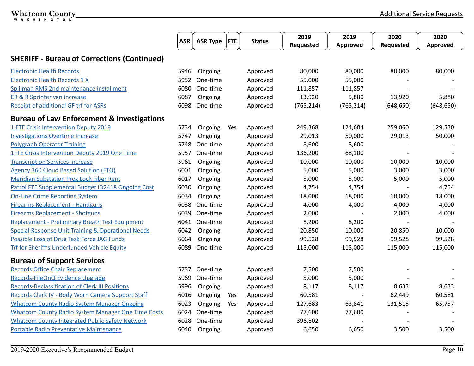|                                                               | <b>ASR</b> | <b>ASR Type</b> | <b>FTE</b> | <b>Status</b> | 2019       | 2019       | 2020       | 2020            |
|---------------------------------------------------------------|------------|-----------------|------------|---------------|------------|------------|------------|-----------------|
|                                                               |            |                 |            |               | Requested  | Approved   | Requested  | <b>Approved</b> |
| <b>SHERIFF - Bureau of Corrections (Continued)</b>            |            |                 |            |               |            |            |            |                 |
| <b>Electronic Health Records</b>                              | 5946       | Ongoing         |            | Approved      | 80,000     | 80,000     | 80,000     | 80,000          |
| <b>Electronic Health Records 1 X</b>                          | 5952       | One-time        |            | Approved      | 55,000     | 55,000     |            |                 |
| Spillman RMS 2nd maintenance installment                      | 6080       | One-time        |            | Approved      | 111,857    | 111,857    |            |                 |
| ER & R Sprinter van increase                                  | 6087       | Ongoing         |            | Approved      | 13,920     | 5,880      | 13,920     | 5,880           |
| <b>Receipt of additional GF trf for ASRs</b>                  | 6098       | One-time        |            | Approved      | (765, 214) | (765, 214) | (648, 650) | (648, 650)      |
| <b>Bureau of Law Enforcement &amp; Investigations</b>         |            |                 |            |               |            |            |            |                 |
| 1 FTE Crisis Intervention Deputy 2019                         | 5734       | Ongoing         | Yes        | Approved      | 249,368    | 124,684    | 259,060    | 129,530         |
| <b>Investigations Overtime Increase</b>                       | 5747       | Ongoing         |            | Approved      | 29,013     | 50,000     | 29,013     | 50,000          |
| <b>Polygraph Operator Training</b>                            | 5748       | One-time        |            | Approved      | 8,600      | 8,600      |            |                 |
| 1FTE Crisis Intervention Deputy 2019 One Time                 | 5957       | One-time        |            | Approved      | 136,200    | 68,100     |            |                 |
| <b>Transcription Services Increase</b>                        | 5961       | Ongoing         |            | Approved      | 10,000     | 10,000     | 10,000     | 10,000          |
| <b>Agency 360 Cloud Based Solution (FTO)</b>                  | 6001       | Ongoing         |            | Approved      | 5,000      | 5,000      | 3,000      | 3,000           |
| <b>Meridian Substation Prox Lock Fiber Rent</b>               | 6017       | Ongoing         |            | Approved      | 5,000      | 5,000      | 5,000      | 5,000           |
| Patrol FTE Supplemental Budget ID2418 Ongoing Cost            | 6030       | Ongoing         |            | Approved      | 4,754      | 4,754      |            | 4,754           |
| <b>On-Line Crime Reporting System</b>                         | 6034       | Ongoing         |            | Approved      | 18,000     | 18,000     | 18,000     | 18,000          |
| <b>Firearms Replacement - Handguns</b>                        | 6038       | One-time        |            | Approved      | 4,000      | 4,000      | 4,000      | 4,000           |
| <b>Firearms Replacement - Shotguns</b>                        | 6039       | One-time        |            | Approved      | 2,000      |            | 2,000      | 4,000           |
| <b>Replacement - Preliminary Breath Test Equipment</b>        | 6041       | One-time        |            | Approved      | 8,200      | 8,200      |            |                 |
| <b>Special Response Unit Training &amp; Operational Needs</b> | 6042       | Ongoing         |            | Approved      | 20,850     | 10,000     | 20,850     | 10,000          |
| Possible Loss of Drug Task Force JAG Funds                    | 6064       | Ongoing         |            | Approved      | 99,528     | 99,528     | 99,528     | 99,528          |
| <b>Trf for Sheriff's Underfunded Vehicle Equity</b>           | 6089       | One-time        |            | Approved      | 115,000    | 115,000    | 115,000    | 115,000         |
| <b>Bureau of Support Services</b>                             |            |                 |            |               |            |            |            |                 |
| <b>Records Office Chair Replacement</b>                       | 5737       | One-time        |            | Approved      | 7,500      | 7,500      |            |                 |
| Records-FileOnQ Evidence Upgrade                              | 5969       | One-time        |            | Approved      | 5,000      | 5,000      |            |                 |
| <b>Records-Reclassification of Clerk III Positions</b>        | 5996       | Ongoing         |            | Approved      | 8,117      | 8,117      | 8,633      | 8,633           |
| Records Clerk IV - Body Worn Camera Support Staff             | 6016       | Ongoing         | Yes        | Approved      | 60,581     |            | 62,449     | 60,581          |
| <b>Whatcom County Radio System Manager Ongoing</b>            | 6023       | Ongoing         | Yes        | Approved      | 127,683    | 63,841     | 131,515    | 65,757          |
| <b>Whatcom County Radio System Manager One Time Costs</b>     | 6024       | One-time        |            | Approved      | 77,600     | 77,600     |            |                 |
| <b>Whatcom County Integrated Public Safety Network</b>        | 6028       | One-time        |            | Approved      | 396,802    |            |            |                 |
| Portable Radio Preventative Maintenance                       | 6040       | Ongoing         |            | Approved      | 6,650      | 6,650      | 3,500      | 3,500           |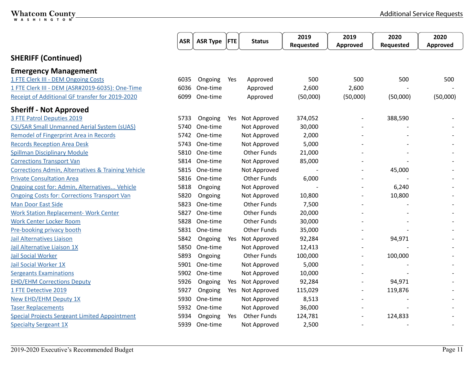|                                                               | <b>ASR</b> | <b>ASR Type</b> | <b>FTE</b> | <b>Status</b>      | 2019      | 2019                     | 2020      | 2020     |
|---------------------------------------------------------------|------------|-----------------|------------|--------------------|-----------|--------------------------|-----------|----------|
|                                                               |            |                 |            |                    | Requested | Approved                 | Requested | Approved |
| <b>SHERIFF (Continued)</b>                                    |            |                 |            |                    |           |                          |           |          |
| <b>Emergency Management</b>                                   |            |                 |            |                    |           |                          |           |          |
| 1 FTE Clerk III - DEM Ongoing Costs                           | 6035       | Ongoing         | Yes        | Approved           | 500       | 500                      | 500       | 500      |
| 1 FTE Clerk III - DEM (ASR#2019-6035): One-Time               | 6036       | One-time        |            | Approved           | 2,600     | 2,600                    |           |          |
| Receipt of Additional GF transfer for 2019-2020               | 6099       | One-time        |            | Approved           | (50,000)  | (50,000)                 | (50,000)  | (50,000) |
| <b>Sheriff - Not Approved</b>                                 |            |                 |            |                    |           |                          |           |          |
| 3 FTE Patrol Deputies 2019                                    | 5733       | Ongoing         | Yes        | Not Approved       | 374,052   |                          | 388,590   |          |
| CSI/SAR Small Unmanned Aerial System (sUAS)                   | 5740       | One-time        |            | Not Approved       | 30,000    |                          |           |          |
| <b>Remodel of Fingerprint Area in Records</b>                 | 5742       | One-time        |            | Not Approved       | 2,000     |                          |           |          |
| <b>Records Reception Area Desk</b>                            | 5743       | One-time        |            | Not Approved       | 5,000     |                          |           |          |
| <b>Spillman Disciplinary Module</b>                           | 5810       | One-time        |            | <b>Other Funds</b> | 21,000    |                          |           |          |
| <b>Corrections Transport Van</b>                              | 5814       | One-time        |            | Not Approved       | 85,000    |                          |           |          |
| <b>Corrections Admin, Alternatives &amp; Training Vehicle</b> | 5815       | One-time        |            | Not Approved       |           |                          | 45,000    |          |
| <b>Private Consultation Area</b>                              | 5816       | One-time        |            | <b>Other Funds</b> | 6,000     |                          |           |          |
| Ongoing cost for: Admin, Alternatives Vehicle                 | 5818       | Ongoing         |            | Not Approved       |           |                          | 6,240     |          |
| <b>Ongoing Costs for: Corrections Transport Van</b>           | 5820       | Ongoing         |            | Not Approved       | 10,800    | $\overline{\phantom{a}}$ | 10,800    |          |
| <b>Man Door East Side</b>                                     | 5823       | One-time        |            | <b>Other Funds</b> | 7,500     |                          |           |          |
| <b>Work Station Replacement- Work Center</b>                  | 5827       | One-time        |            | <b>Other Funds</b> | 20,000    |                          |           |          |
| <b>Work Center Locker Room</b>                                | 5828       | One-time        |            | <b>Other Funds</b> | 30,000    |                          |           |          |
| Pre-booking privacy booth                                     | 5831       | One-time        |            | <b>Other Funds</b> | 35,000    |                          |           |          |
| <b>Jail Alternatives Liaison</b>                              | 5842       | Ongoing         | Yes        | Not Approved       | 92,284    | $\overline{\phantom{a}}$ | 94,971    |          |
| Jail Alternative Liaison 1X                                   | 5850       | One-time        |            | Not Approved       | 12,413    | $\overline{\phantom{a}}$ |           |          |
| <b>Jail Social Worker</b>                                     | 5893       | Ongoing         |            | <b>Other Funds</b> | 100,000   | $\overline{\phantom{a}}$ | 100,000   |          |
| Jail Social Worker 1X                                         | 5901       | One-time        |            | Not Approved       | 5,000     |                          |           |          |
| <b>Sergeants Examinations</b>                                 |            | 5902 One-time   |            | Not Approved       | 10,000    |                          |           |          |
| <b>EHD/EHM Corrections Deputy</b>                             | 5926       | Ongoing         | Yes        | Not Approved       | 92,284    |                          | 94,971    |          |
| 1 FTE Detective 2019                                          | 5927       | Ongoing         | Yes        | Not Approved       | 115,029   | $\overline{\phantom{a}}$ | 119,876   |          |
| <b>New EHD/EHM Deputy 1X</b>                                  | 5930       | One-time        |            | Not Approved       | 8,513     | $\overline{a}$           |           |          |
| <b>Taser Replacements</b>                                     | 5932       | One-time        |            | Not Approved       | 36,000    |                          |           |          |
| <b>Special Projects Sergeant Limited Appointment</b>          | 5934       | Ongoing         | Yes        | <b>Other Funds</b> | 124,781   |                          | 124,833   |          |
| <b>Specialty Sergeant 1X</b>                                  | 5939       | One-time        |            | Not Approved       | 2,500     |                          |           |          |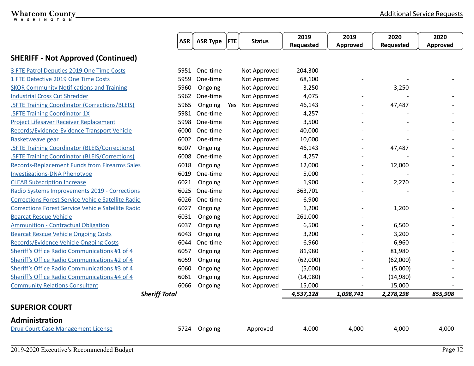<span id="page-12-0"></span>

|                                                           | <b>ASR</b> | <b>ASR Type</b> | $ $ FTE | <b>Status</b> | 2019      | 2019      | 2020      | 2020     |
|-----------------------------------------------------------|------------|-----------------|---------|---------------|-----------|-----------|-----------|----------|
|                                                           |            |                 |         |               | Requested | Approved  | Requested | Approved |
| <b>SHERIFF - Not Approved (Continued)</b>                 |            |                 |         |               |           |           |           |          |
| 3 FTE Patrol Deputies 2019 One Time Costs                 | 5951       | One-time        |         | Not Approved  | 204,300   |           |           |          |
| 1 FTE Detective 2019 One Time Costs                       | 5959       | One-time        |         | Not Approved  | 68,100    |           |           |          |
| <b>SKOR Community Notifications and Training</b>          | 5960       | Ongoing         |         | Not Approved  | 3,250     |           | 3,250     |          |
| <b>Industrial Cross Cut Shredder</b>                      | 5962       | One-time        |         | Not Approved  | 4,075     |           |           |          |
| <b>.SFTE Training Coordinator (Corrections/BLEIS)</b>     | 5965       | Ongoing         | Yes     | Not Approved  | 46,143    |           | 47,487    |          |
| <b>.5FTE Training Coordinator 1X</b>                      | 5981       | One-time        |         | Not Approved  | 4,257     |           |           |          |
| <b>Project Lifesaver Receiver Replacement</b>             | 5998       | One-time        |         | Not Approved  | 3,500     |           |           |          |
| Records/Evidence-Evidence Transport Vehicle               | 6000       | One-time        |         | Not Approved  | 40,000    |           |           |          |
| <b>Basketweave gear</b>                                   | 6002       | One-time        |         | Not Approved  | 10,000    |           |           |          |
| <b>.5FTE Training Coordinator (BLEIS/Corrections)</b>     | 6007       | Ongoing         |         | Not Approved  | 46,143    |           | 47,487    |          |
| <b>.5FTE Training Coordinator (BLEIS/Corrections)</b>     | 6008       | One-time        |         | Not Approved  | 4,257     |           |           |          |
| <b>Records-Replacement Funds from Firearms Sales</b>      | 6018       | Ongoing         |         | Not Approved  | 12,000    |           | 12,000    |          |
| <b>Investigations-DNA Phenotype</b>                       | 6019       | One-time        |         | Not Approved  | 5,000     |           |           |          |
| <b>CLEAR Subscription Increase</b>                        | 6021       | Ongoing         |         | Not Approved  | 1,900     |           | 2,270     |          |
| Radio Systems Improvements 2019 - Corrections             | 6025       | One-time        |         | Not Approved  | 363,701   |           |           |          |
| <b>Corrections Forest Service Vehicle Satellite Radio</b> | 6026       | One-time        |         | Not Approved  | 6,900     |           |           |          |
| <b>Corrections Forest Service Vehicle Satellite Radio</b> | 6027       | Ongoing         |         | Not Approved  | 1,200     |           | 1,200     |          |
| <b>Bearcat Rescue Vehicle</b>                             | 6031       | Ongoing         |         | Not Approved  | 261,000   |           |           |          |
| <b>Ammunition - Contractual Obligation</b>                | 6037       | Ongoing         |         | Not Approved  | 6,500     |           | 6,500     |          |
| <b>Bearcat Rescue Vehicle Ongoing Costs</b>               | 6043       | Ongoing         |         | Not Approved  | 3,200     |           | 3,200     |          |
| <b>Records/Evidence Vehicle Ongoing Costs</b>             | 6044       | One-time        |         | Not Approved  | 6,960     |           | 6,960     |          |
| Sheriff's Office Radio Communications #1 of 4             | 6057       | Ongoing         |         | Not Approved  | 81,980    |           | 81,980    |          |
| Sheriff's Office Radio Communications #2 of 4             | 6059       | Ongoing         |         | Not Approved  | (62,000)  |           | (62,000)  |          |
| Sheriff's Office Radio Communications #3 of 4             | 6060       | Ongoing         |         | Not Approved  | (5,000)   |           | (5,000)   |          |
| Sheriff's Office Radio Communications #4 of 4             | 6061       | Ongoing         |         | Not Approved  | (14,980)  |           | (14,980)  |          |
| <b>Community Relations Consultant</b>                     | 6066       | Ongoing         |         | Not Approved  | 15,000    |           | 15,000    |          |
| <b>Sheriff Total</b>                                      |            |                 |         |               | 4,537,128 | 1,098,741 | 2,278,298 | 855,908  |
| <b>SUPERIOR COURT</b>                                     |            |                 |         |               |           |           |           |          |
| Administration                                            |            |                 |         |               |           |           |           |          |
| <b>Drug Court Case Management License</b>                 | 5724       | Ongoing         |         | Approved      | 4,000     | 4,000     | 4,000     | 4,000    |